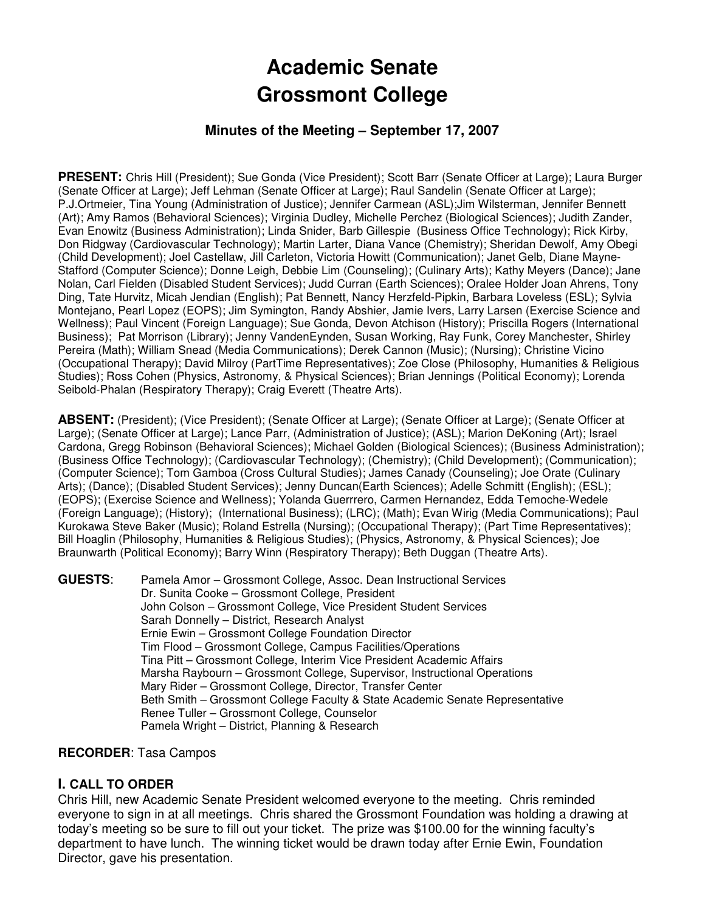# **Academic Senate Grossmont College**

# **Minutes of the Meeting – September 17, 2007**

**PRESENT:** Chris Hill (President); Sue Gonda (Vice President); Scott Barr (Senate Officer at Large); Laura Burger (Senate Officer at Large); Jeff Lehman (Senate Officer at Large); Raul Sandelin (Senate Officer at Large); P.J.Ortmeier, Tina Young (Administration of Justice); Jennifer Carmean (ASL);Jim Wilsterman, Jennifer Bennett (Art); Amy Ramos (Behavioral Sciences); Virginia Dudley, Michelle Perchez (Biological Sciences); Judith Zander, Evan Enowitz (Business Administration); Linda Snider, Barb Gillespie (Business Office Technology); Rick Kirby, Don Ridgway (Cardiovascular Technology); Martin Larter, Diana Vance (Chemistry); Sheridan Dewolf, Amy Obegi (Child Development); Joel Castellaw, Jill Carleton, Victoria Howitt (Communication); Janet Gelb, Diane Mayne-Stafford (Computer Science); Donne Leigh, Debbie Lim (Counseling); (Culinary Arts); Kathy Meyers (Dance); Jane Nolan, Carl Fielden (Disabled Student Services); Judd Curran (Earth Sciences); Oralee Holder Joan Ahrens, Tony Ding, Tate Hurvitz, Micah Jendian (English); Pat Bennett, Nancy Herzfeld-Pipkin, Barbara Loveless (ESL); Sylvia Montejano, Pearl Lopez (EOPS); Jim Symington, Randy Abshier, Jamie Ivers, Larry Larsen (Exercise Science and Wellness); Paul Vincent (Foreign Language); Sue Gonda, Devon Atchison (History); Priscilla Rogers (International Business); Pat Morrison (Library); Jenny VandenEynden, Susan Working, Ray Funk, Corey Manchester, Shirley Pereira (Math); William Snead (Media Communications); Derek Cannon (Music); (Nursing); Christine Vicino (Occupational Therapy); David Milroy (PartTime Representatives); Zoe Close (Philosophy, Humanities & Religious Studies); Ross Cohen (Physics, Astronomy, & Physical Sciences); Brian Jennings (Political Economy); Lorenda Seibold-Phalan (Respiratory Therapy); Craig Everett (Theatre Arts).

**ABSENT:** (President); (Vice President); (Senate Officer at Large); (Senate Officer at Large); (Senate Officer at Large); (Senate Officer at Large); Lance Parr, (Administration of Justice); (ASL); Marion DeKoning (Art); Israel Cardona, Gregg Robinson (Behavioral Sciences); Michael Golden (Biological Sciences); (Business Administration); (Business Office Technology); (Cardiovascular Technology); (Chemistry); (Child Development); (Communication); (Computer Science); Tom Gamboa (Cross Cultural Studies); James Canady (Counseling); Joe Orate (Culinary Arts); (Dance); (Disabled Student Services); Jenny Duncan(Earth Sciences); Adelle Schmitt (English); (ESL); (EOPS); (Exercise Science and Wellness); Yolanda Guerrrero, Carmen Hernandez, Edda Temoche-Wedele (Foreign Language); (History); (International Business); (LRC); (Math); Evan Wirig (Media Communications); Paul Kurokawa Steve Baker (Music); Roland Estrella (Nursing); (Occupational Therapy); (Part Time Representatives); Bill Hoaglin (Philosophy, Humanities & Religious Studies); (Physics, Astronomy, & Physical Sciences); Joe Braunwarth (Political Economy); Barry Winn (Respiratory Therapy); Beth Duggan (Theatre Arts).

**GUESTS**: Pamela Amor – Grossmont College, Assoc. Dean Instructional Services Dr. Sunita Cooke – Grossmont College, President John Colson – Grossmont College, Vice President Student Services Sarah Donnelly – District, Research Analyst Ernie Ewin – Grossmont College Foundation Director Tim Flood – Grossmont College, Campus Facilities/Operations Tina Pitt – Grossmont College, Interim Vice President Academic Affairs Marsha Raybourn – Grossmont College, Supervisor, Instructional Operations Mary Rider – Grossmont College, Director, Transfer Center Beth Smith – Grossmont College Faculty & State Academic Senate Representative Renee Tuller – Grossmont College, Counselor Pamela Wright – District, Planning & Research

#### **RECORDER**: Tasa Campos

## **I. CALL TO ORDER**

Chris Hill, new Academic Senate President welcomed everyone to the meeting. Chris reminded everyone to sign in at all meetings. Chris shared the Grossmont Foundation was holding a drawing at today's meeting so be sure to fill out your ticket. The prize was \$100.00 for the winning faculty's department to have lunch. The winning ticket would be drawn today after Ernie Ewin, Foundation Director, gave his presentation.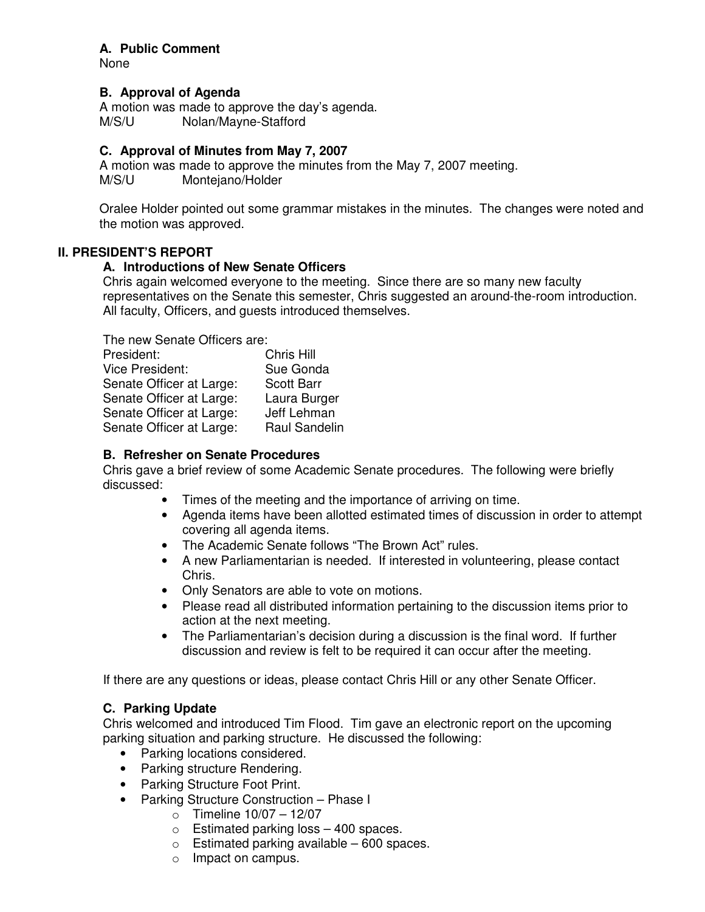## **A. Public Comment**

None

# **B. Approval of Agenda**

A motion was made to approve the day's agenda. M/S/U Nolan/Mayne-Stafford

## **C. Approval of Minutes from May 7, 2007**

A motion was made to approve the minutes from the May 7, 2007 meeting. M/S/U Montejano/Holder

Oralee Holder pointed out some grammar mistakes in the minutes. The changes were noted and the motion was approved.

# **II. PRESIDENT'S REPORT**

# **A. Introductions of New Senate Officers**

Chris again welcomed everyone to the meeting. Since there are so many new faculty representatives on the Senate this semester, Chris suggested an around-the-room introduction. All faculty, Officers, and guests introduced themselves.

The new Senate Officers are:

| President:               | Chris Hill           |
|--------------------------|----------------------|
| <b>Vice President:</b>   | Sue Gonda            |
| Senate Officer at Large: | <b>Scott Barr</b>    |
| Senate Officer at Large: | Laura Burger         |
| Senate Officer at Large: | Jeff Lehman          |
| Senate Officer at Large: | <b>Raul Sandelin</b> |

# **B. Refresher on Senate Procedures**

Chris gave a brief review of some Academic Senate procedures. The following were briefly discussed:

- Times of the meeting and the importance of arriving on time.
- Agenda items have been allotted estimated times of discussion in order to attempt covering all agenda items.
- The Academic Senate follows "The Brown Act" rules.
- A new Parliamentarian is needed. If interested in volunteering, please contact Chris.
- Only Senators are able to vote on motions.
- Please read all distributed information pertaining to the discussion items prior to action at the next meeting.
- The Parliamentarian's decision during a discussion is the final word. If further discussion and review is felt to be required it can occur after the meeting.

If there are any questions or ideas, please contact Chris Hill or any other Senate Officer.

# **C. Parking Update**

Chris welcomed and introduced Tim Flood. Tim gave an electronic report on the upcoming parking situation and parking structure. He discussed the following:

- Parking locations considered.
- Parking structure Rendering.
- Parking Structure Foot Print.
- Parking Structure Construction Phase I
	- $\circ$  Timeline 10/07 12/07
	- $\circ$  Estimated parking loss  $-$  400 spaces.
	- $\circ$  Estimated parking available 600 spaces.
	- o Impact on campus.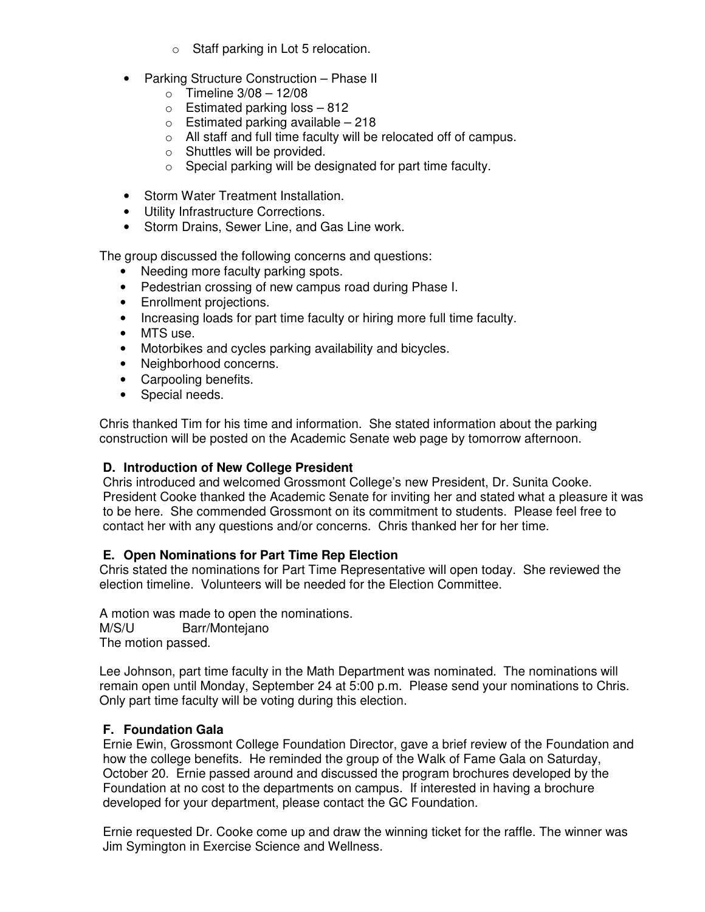- o Staff parking in Lot 5 relocation.
- Parking Structure Construction Phase II
	- $\circ$  Timeline 3/08 12/08
	- $\circ$  Estimated parking loss 812
	- $\circ$  Estimated parking available 218
	- o All staff and full time faculty will be relocated off of campus.
	- o Shuttles will be provided.
	- o Special parking will be designated for part time faculty.
- Storm Water Treatment Installation.
- Utility Infrastructure Corrections.
- Storm Drains, Sewer Line, and Gas Line work.

The group discussed the following concerns and questions:

- Needing more faculty parking spots.
- Pedestrian crossing of new campus road during Phase I.
- Enrollment projections.
- Increasing loads for part time faculty or hiring more full time faculty.
- MTS use.
- Motorbikes and cycles parking availability and bicycles.
- Neighborhood concerns.
- Carpooling benefits.
- Special needs.

Chris thanked Tim for his time and information. She stated information about the parking construction will be posted on the Academic Senate web page by tomorrow afternoon.

## **D. Introduction of New College President**

Chris introduced and welcomed Grossmont College's new President, Dr. Sunita Cooke. President Cooke thanked the Academic Senate for inviting her and stated what a pleasure it was to be here. She commended Grossmont on its commitment to students. Please feel free to contact her with any questions and/or concerns. Chris thanked her for her time.

## **E. Open Nominations for Part Time Rep Election**

Chris stated the nominations for Part Time Representative will open today. She reviewed the election timeline. Volunteers will be needed for the Election Committee.

A motion was made to open the nominations. M/S/U Barr/Montejano The motion passed.

Lee Johnson, part time faculty in the Math Department was nominated. The nominations will remain open until Monday, September 24 at 5:00 p.m. Please send your nominations to Chris. Only part time faculty will be voting during this election.

## **F. Foundation Gala**

Ernie Ewin, Grossmont College Foundation Director, gave a brief review of the Foundation and how the college benefits. He reminded the group of the Walk of Fame Gala on Saturday, October 20. Ernie passed around and discussed the program brochures developed by the Foundation at no cost to the departments on campus. If interested in having a brochure developed for your department, please contact the GC Foundation.

Ernie requested Dr. Cooke come up and draw the winning ticket for the raffle. The winner was Jim Symington in Exercise Science and Wellness.